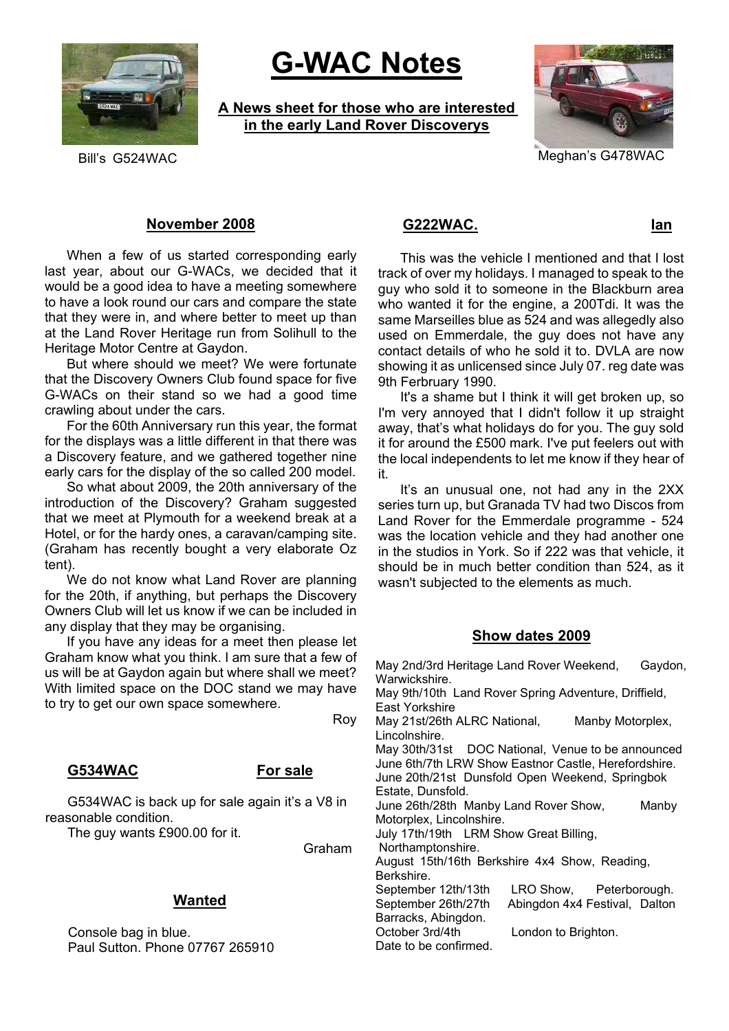

# **G-WAC Notes**

**A News sheet for those who are interested in the early Land Rover Discoverys**



Bill's G524WAC Meghan's G478WAC

# **November 2008**

When a few of us started corresponding early last year, about our G-WACs, we decided that it would be a good idea to have a meeting somewhere to have a look round our cars and compare the state that they were in, and where better to meet up than at the Land Rover Heritage run from Solihull to the Heritage Motor Centre at Gaydon.

But where should we meet? We were fortunate that the Discovery Owners Club found space for five G-WACs on their stand so we had a good time crawling about under the cars.

For the 60th Anniversary run this year, the format for the displays was a little different in that there was a Discovery feature, and we gathered together nine early cars for the display of the so called 200 model.

So what about 2009, the 20th anniversary of the introduction of the Discovery? Graham suggested that we meet at Plymouth for a weekend break at a Hotel, or for the hardy ones, a caravan/camping site. (Graham has recently bought a very elaborate Oz tent).

We do not know what Land Rover are planning for the 20th, if anything, but perhaps the Discovery Owners Club will let us know if we can be included in any display that they may be organising.

If you have any ideas for a meet then please let Graham know what you think. I am sure that a few of us will be at Gaydon again but where shall we meet? With limited space on the DOC stand we may have to try to get our own space somewhere.

Roy

# **G534WAC For sale**

G534WAC is back up for sale again it's a V8 in reasonable condition.

The guy wants £900.00 for it.

Graham

# **Wanted**

Console bag in blue. Paul Sutton. Phone 07767 265910

# **G222WAC. Ian**

This was the vehicle I mentioned and that I lost track of over my holidays. I managed to speak to the guy who sold it to someone in the Blackburn area who wanted it for the engine, a 200Tdi. It was the same Marseilles blue as 524 and was allegedly also used on Emmerdale, the guy does not have any contact details of who he sold it to. DVLA are now showing it as unlicensed since July 07. reg date was 9th Ferbruary 1990.

It's a shame but I think it will get broken up, so I'm very annoyed that I didn't follow it up straight away, that's what holidays do for you. The guy sold it for around the £500 mark. I've put feelers out with the local independents to let me know if they hear of it.

It's an unusual one, not had any in the 2XX series turn up, but Granada TV had two Discos from Land Rover for the Emmerdale programme - 524 was the location vehicle and they had another one in the studios in York. So if 222 was that vehicle, it should be in much better condition than 524, as it wasn't subjected to the elements as much.

## **Show dates 2009**

May 2nd/3rd Heritage Land Rover Weekend, Gaydon, Warwickshire. May 9th/10th Land Rover Spring Adventure, Driffield, East Yorkshire May 21st/26th ALRC National. Manby Motorplex, Lincolnshire. May 30th/31st DOC National, Venue to be announced June 6th/7th LRW Show Eastnor Castle, Herefordshire. June 20th/21st Dunsfold Open Weekend, Springbok Estate, Dunsfold. June 26th/28th Manby Land Rover Show, Manby Motorplex, Lincolnshire. July 17th/19th LRM Show Great Billing, Northamptonshire. August 15th/16th Berkshire 4x4 Show, Reading, Berkshire. September 12th/13th LRO Show, Peterborough. September 26th/27th Abingdon 4x4 Festival, Dalton Barracks, Abingdon. October 3rd/4th London to Brighton. Date to be confirmed.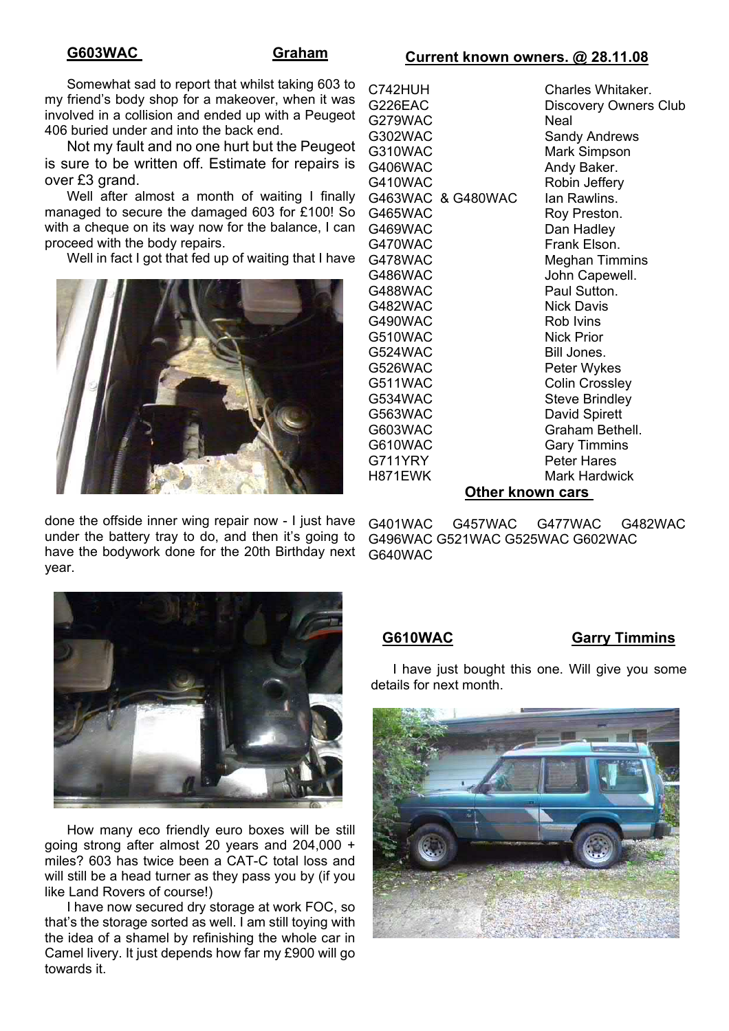# **G603WAC Graham**

# **Current known owners. @ 28.11.08**

Somewhat sad to report that whilst taking 603 to my friend's body shop for a makeover, when it was involved in a collision and ended up with a Peugeot 406 buried under and into the back end.

Not my fault and no one hurt but the Peugeot is sure to be written off. Estimate for repairs is over £3 grand.

Well after almost a month of waiting I finally managed to secure the damaged 603 for £100! So with a cheque on its way now for the balance, I can proceed with the body repairs.

Well in fact I got that fed up of waiting that I have



done the offside inner wing repair now - I just have under the battery tray to do, and then it's going to have the bodywork done for the 20th Birthday next year.

| C742HUH           | Charles Whitaker.            |
|-------------------|------------------------------|
| G226EAC           | <b>Discovery Owners Club</b> |
| G279WAC           | Neal                         |
| G302WAC           | Sandy Andrews                |
| G310WAC           | Mark Simpson                 |
| G406WAC           | Andy Baker.                  |
| G410WAC           | Robin Jeffery                |
| G463WAC & G480WAC | lan Rawlins.                 |
| G465WAC           | Roy Preston.                 |
| G469WAC           | Dan Hadley                   |
| G470WAC           | Frank Elson.                 |
| G478WAC           | <b>Meghan Timmins</b>        |
| G486WAC           | John Capewell.               |
| G488WAC           | Paul Sutton.                 |
| G482WAC           | Nick Davis                   |
| G490WAC           | Rob Ivins                    |
| G510WAC           | Nick Prior                   |
| G524WAC           | Bill Jones.                  |
| G526WAC           | Peter Wykes                  |
| G511WAC           | <b>Colin Crossley</b>        |
| G534WAC           | Steve Brindley               |
| G563WAC           | David Spirett                |
| G603WAC           | Graham Bethell.              |
| G610WAC           | <b>Gary Timmins</b>          |
| G711YRY           | <b>Peter Hares</b>           |
| H871EWK           | Mark Hardwick                |
| A.L<br>п.         |                              |

### **Other known cars**

G401WAC G457WAC G477WAC G482WAC G496WAC G521WAC G525WAC G602WAC G640WAC



How many eco friendly euro boxes will be still going strong after almost 20 years and 204,000 + miles? 603 has twice been a CAT-C total loss and will still be a head turner as they pass you by (if you like Land Rovers of course!)

I have now secured dry storage at work FOC, so that's the storage sorted as well. I am still toying with the idea of a shamel by refinishing the whole car in Camel livery. It just depends how far my £900 will go towards it.

# **G610WAC Garry Timmins**

I have just bought this one. Will give you some details for next month.